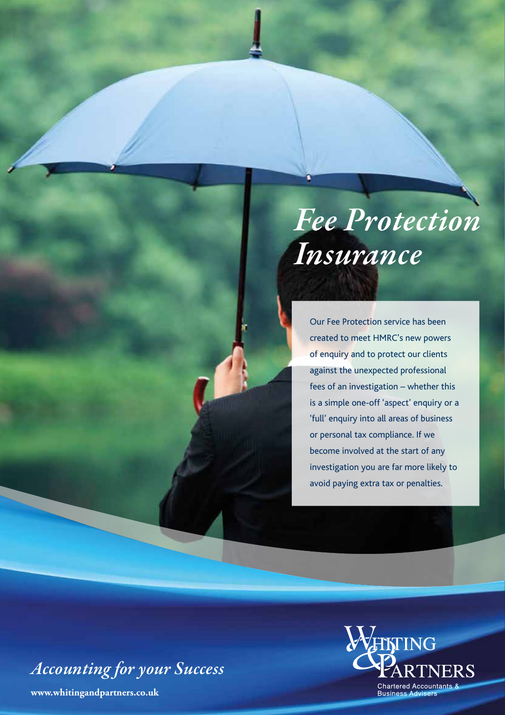*Fee Protection Insurance*

Our Fee Protection service has been created to meet HMRC's new powers of enquiry and to protect our clients against the unexpected professional fees of an investigation – whether this is a simple one-off 'aspect' enquiry or a 'full' enquiry into all areas of business or personal tax compliance. If we become involved at the start of any investigation you are far more likely to avoid paying extra tax or penalties.

*Accounting for your Success*

**www.whitingandpartners.co.uk**